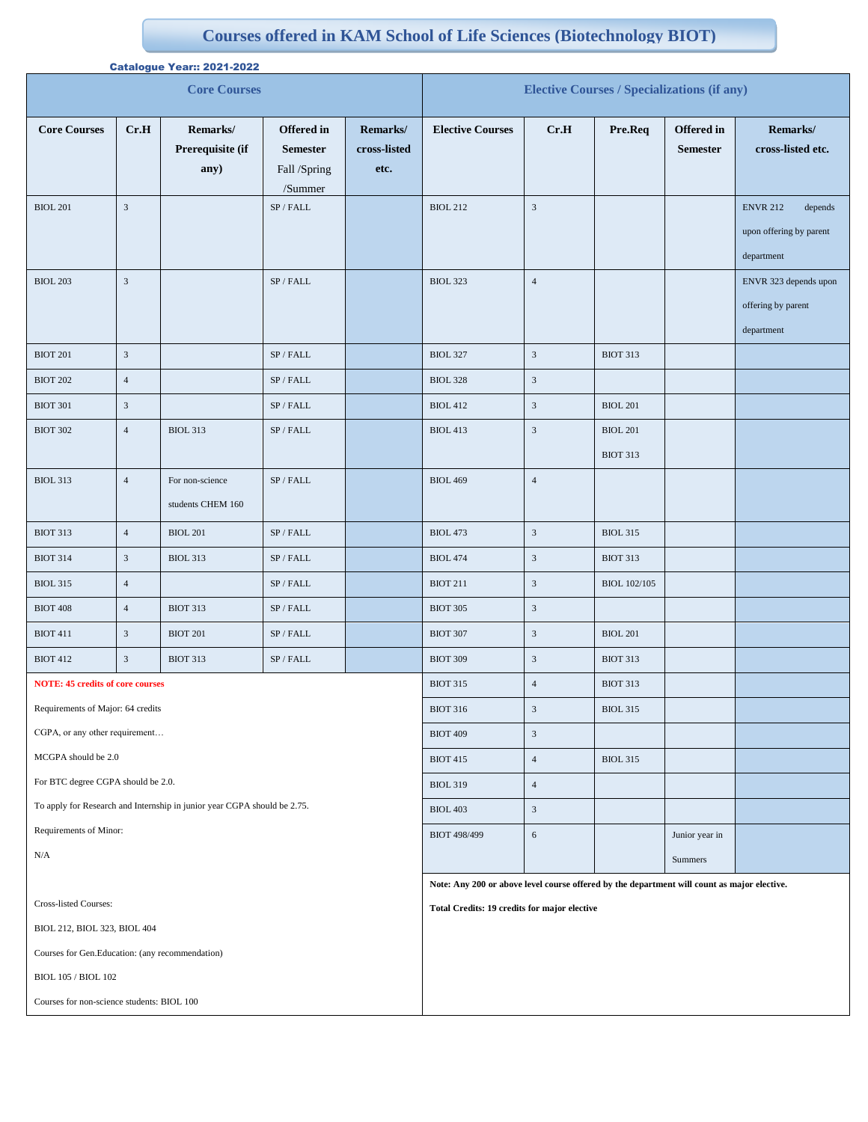## ff **Courses offered in KAM School of Life Sciences (Biotechnology BIOT)**

| <b>Catalogue Year:: 2021-2022</b>                                        |                |                                      |                                                                 |                                                    |                                                                                             |                         |                                    |                                      |                                                                     |  |
|--------------------------------------------------------------------------|----------------|--------------------------------------|-----------------------------------------------------------------|----------------------------------------------------|---------------------------------------------------------------------------------------------|-------------------------|------------------------------------|--------------------------------------|---------------------------------------------------------------------|--|
| <b>Core Courses</b>                                                      |                |                                      |                                                                 | <b>Elective Courses / Specializations (if any)</b> |                                                                                             |                         |                                    |                                      |                                                                     |  |
| <b>Core Courses</b>                                                      | Cr.H           | Remarks/<br>Prerequisite (if<br>any) | <b>Offered</b> in<br><b>Semester</b><br>Fall /Spring<br>/Summer | Remarks/<br>cross-listed<br>etc.                   | <b>Elective Courses</b>                                                                     | Cr.H                    | Pre.Req                            | <b>Offered</b> in<br><b>Semester</b> | Remarks/<br>cross-listed etc.                                       |  |
| <b>BIOL 201</b>                                                          | $\overline{3}$ |                                      | SP/FALL                                                         |                                                    | <b>BIOL 212</b>                                                                             | $\mathfrak z$           |                                    |                                      | <b>ENVR 212</b><br>depends<br>upon offering by parent<br>department |  |
| <b>BIOL 203</b>                                                          | $\overline{3}$ |                                      | SP / FALL                                                       |                                                    | <b>BIOL 323</b>                                                                             | $\overline{4}$          |                                    |                                      | ENVR 323 depends upon<br>offering by parent<br>department           |  |
| <b>BIOT 201</b>                                                          | $\mathfrak{Z}$ |                                      | SP / FALL                                                       |                                                    | <b>BIOL 327</b>                                                                             | $\mathfrak{Z}$          | <b>BIOT 313</b>                    |                                      |                                                                     |  |
| <b>BIOT 202</b>                                                          | $\overline{4}$ |                                      | SP / FALL                                                       |                                                    | <b>BIOL 328</b>                                                                             | $\mathfrak{Z}$          |                                    |                                      |                                                                     |  |
| <b>BIOT 301</b>                                                          | $\mathfrak{Z}$ |                                      | SP / FALL                                                       |                                                    | <b>BIOL 412</b>                                                                             | $\overline{\mathbf{3}}$ | <b>BIOL 201</b>                    |                                      |                                                                     |  |
| <b>BIOT 302</b>                                                          | $\overline{4}$ | <b>BIOL 313</b>                      | $\mathrm{SP}$ / FALL                                            |                                                    | <b>BIOL 413</b>                                                                             | $\mathfrak{Z}$          | <b>BIOL 201</b><br><b>BIOT 313</b> |                                      |                                                                     |  |
| <b>BIOL 313</b>                                                          | $\overline{4}$ | For non-science<br>students CHEM 160 | $\mathrm{SP}$ / FALL                                            |                                                    | <b>BIOL 469</b>                                                                             | $\overline{4}$          |                                    |                                      |                                                                     |  |
| <b>BIOT 313</b>                                                          | $\overline{4}$ | <b>BIOL 201</b>                      | $\mathrm{SP}$ / FALL                                            |                                                    | <b>BIOL 473</b>                                                                             | $\mathfrak{Z}$          | <b>BIOL 315</b>                    |                                      |                                                                     |  |
| <b>BIOT 314</b>                                                          | $\mathfrak{Z}$ | <b>BIOL 313</b>                      | $\mathrm{SP}$ / FALL                                            |                                                    | <b>BIOL 474</b>                                                                             | $\overline{\mathbf{3}}$ | <b>BIOT 313</b>                    |                                      |                                                                     |  |
| <b>BIOL 315</b>                                                          | $\overline{4}$ |                                      | $\mathrm{SP}$ / FALL                                            |                                                    | <b>BIOT 211</b>                                                                             | $\mathfrak{Z}$          | <b>BIOL 102/105</b>                |                                      |                                                                     |  |
| <b>BIOT 408</b>                                                          | $\overline{4}$ | <b>BIOT 313</b>                      | $\mathrm{SP}$ / FALL                                            |                                                    | <b>BIOT 305</b>                                                                             | $\mathfrak{Z}$          |                                    |                                      |                                                                     |  |
| <b>BIOT 411</b>                                                          | $\mathfrak{Z}$ | <b>BIOT 201</b>                      | $\mathrm{SP}$ / FALL                                            |                                                    | <b>BIOT 307</b>                                                                             | $\mathfrak{Z}$          | <b>BIOL 201</b>                    |                                      |                                                                     |  |
| <b>BIOT 412</b>                                                          | $\mathfrak{Z}$ | <b>BIOT 313</b>                      | SP / FALL                                                       |                                                    | <b>BIOT 309</b>                                                                             | $\mathfrak z$           | <b>BIOT 313</b>                    |                                      |                                                                     |  |
| <b>NOTE: 45 credits of core courses</b>                                  |                |                                      |                                                                 |                                                    | <b>BIOT 315</b>                                                                             | 4                       | <b>BIOT 313</b>                    |                                      |                                                                     |  |
| Requirements of Major: 64 credits                                        |                |                                      |                                                                 |                                                    | <b>BIOT 316</b>                                                                             | $\mathfrak z$           | <b>BIOL 315</b>                    |                                      |                                                                     |  |
| CGPA, or any other requirement                                           |                |                                      |                                                                 |                                                    | <b>BIOT 409</b>                                                                             | $\mathfrak{Z}$          |                                    |                                      |                                                                     |  |
| MCGPA should be 2.0                                                      |                |                                      |                                                                 |                                                    | <b>BIOT 415</b>                                                                             | $\overline{4}$          | <b>BIOL 315</b>                    |                                      |                                                                     |  |
| For BTC degree CGPA should be 2.0.                                       |                |                                      |                                                                 |                                                    | <b>BIOL 319</b>                                                                             | $\overline{4}$          |                                    |                                      |                                                                     |  |
| To apply for Research and Internship in junior year CGPA should be 2.75. |                |                                      |                                                                 |                                                    | <b>BIOL 403</b>                                                                             | $\mathfrak{Z}$          |                                    |                                      |                                                                     |  |
| Requirements of Minor:                                                   |                |                                      |                                                                 |                                                    | <b>BIOT 498/499</b>                                                                         | $\sqrt{6}$              |                                    | Junior year in                       |                                                                     |  |
| $\rm N/A$                                                                |                |                                      |                                                                 |                                                    |                                                                                             |                         |                                    | Summers                              |                                                                     |  |
|                                                                          |                |                                      |                                                                 |                                                    | Note: Any 200 or above level course offered by the department will count as major elective. |                         |                                    |                                      |                                                                     |  |
| Cross-listed Courses:                                                    |                |                                      |                                                                 | Total Credits: 19 credits for major elective       |                                                                                             |                         |                                    |                                      |                                                                     |  |
| BIOL 212, BIOL 323, BIOL 404                                             |                |                                      |                                                                 |                                                    |                                                                                             |                         |                                    |                                      |                                                                     |  |
| Courses for Gen.Education: (any recommendation)                          |                |                                      |                                                                 |                                                    |                                                                                             |                         |                                    |                                      |                                                                     |  |
| <b>BIOL 105 / BIOL 102</b>                                               |                |                                      |                                                                 |                                                    |                                                                                             |                         |                                    |                                      |                                                                     |  |
| Courses for non-science students: BIOL 100                               |                |                                      |                                                                 |                                                    |                                                                                             |                         |                                    |                                      |                                                                     |  |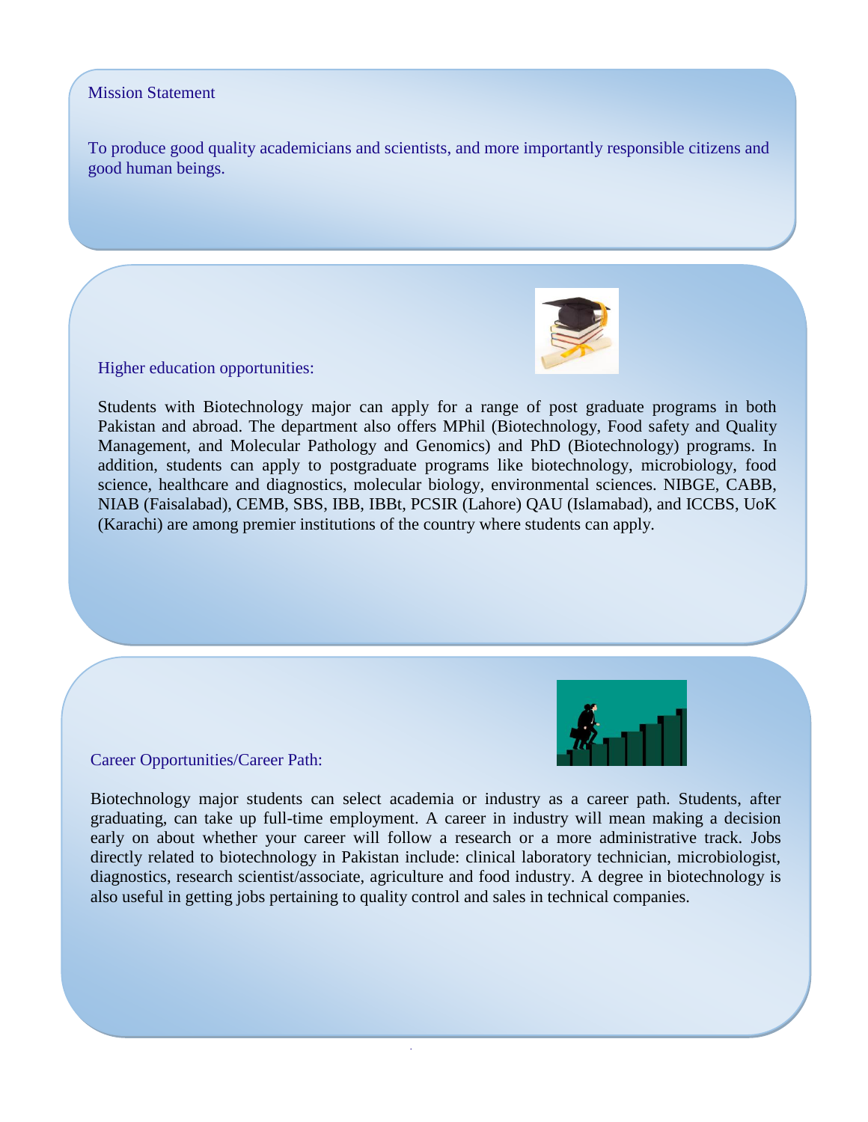## Mission Statement

To produce good quality academicians and scientists, and more importantly responsible citizens and good human beings.

Higher education opportunities:

Students with Biotechnology major can apply for a range of post graduate programs in both Pakistan and abroad. The department also offers MPhil (Biotechnology, Food safety and Quality Management, and Molecular Pathology and Genomics) and PhD (Biotechnology) programs. In addition, students can apply to postgraduate programs like biotechnology, microbiology, food science, healthcare and diagnostics, molecular biology, environmental sciences. NIBGE, CABB, NIAB (Faisalabad), CEMB, SBS, IBB, IBBt, PCSIR (Lahore) QAU (Islamabad), and ICCBS, UoK (Karachi) are among premier institutions of the country where students can apply.



Career Opportunities/Career Path:

Biotechnology major students can select academia or industry as a career path. Students, after graduating, can take up full-time employment. A career in industry will mean making a decision early on about whether your career will follow a research or a more administrative track. Jobs directly related to biotechnology in Pakistan include: clinical laboratory technician, microbiologist, diagnostics, research scientist/associate, agriculture and food industry. A degree in biotechnology is also useful in getting jobs pertaining to quality control and sales in technical companies.

.